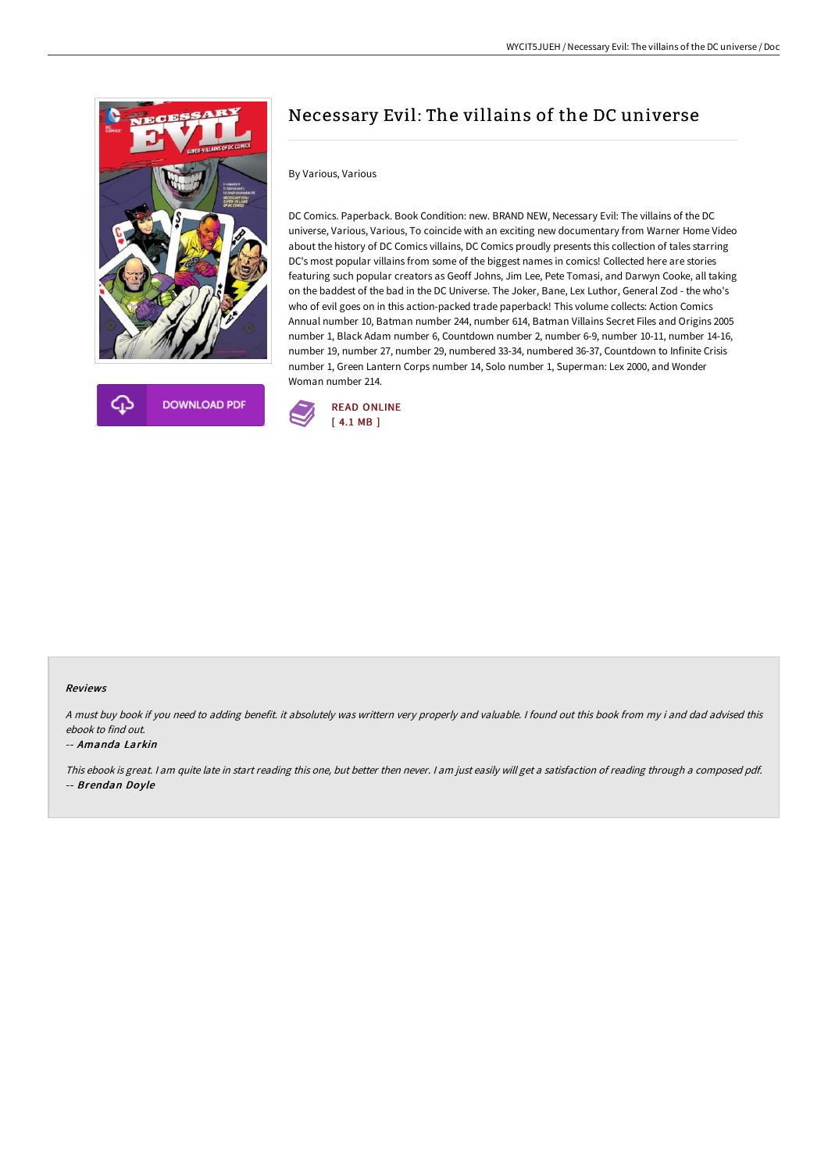



# Necessary Evil: The villains of the DC universe

## By Various, Various

DC Comics. Paperback. Book Condition: new. BRAND NEW, Necessary Evil: The villains of the DC universe, Various, Various, To coincide with an exciting new documentary from Warner Home Video about the history of DC Comics villains, DC Comics proudly presents this collection of tales starring DC's most popular villains from some of the biggest names in comics! Collected here are stories featuring such popular creators as Geoff Johns, Jim Lee, Pete Tomasi, and Darwyn Cooke, all taking on the baddest of the bad in the DC Universe. The Joker, Bane, Lex Luthor, General Zod - the who's who of evil goes on in this action-packed trade paperback! This volume collects: Action Comics Annual number 10, Batman number 244, number 614, Batman Villains Secret Files and Origins 2005 number 1, Black Adam number 6, Countdown number 2, number 6-9, number 10-11, number 14-16, number 19, number 27, number 29, numbered 33-34, numbered 36-37, Countdown to Infinite Crisis number 1, Green Lantern Corps number 14, Solo number 1, Superman: Lex 2000, and Wonder Woman number 214.



### Reviews

<sup>A</sup> must buy book if you need to adding benefit. it absolutely was writtern very properly and valuable. <sup>I</sup> found out this book from my i and dad advised this ebook to find out.

#### -- Amanda Larkin

This ebook is great. <sup>I</sup> am quite late in start reading this one, but better then never. <sup>I</sup> am just easily will get <sup>a</sup> satisfaction of reading through <sup>a</sup> composed pdf. -- Brendan Doyle